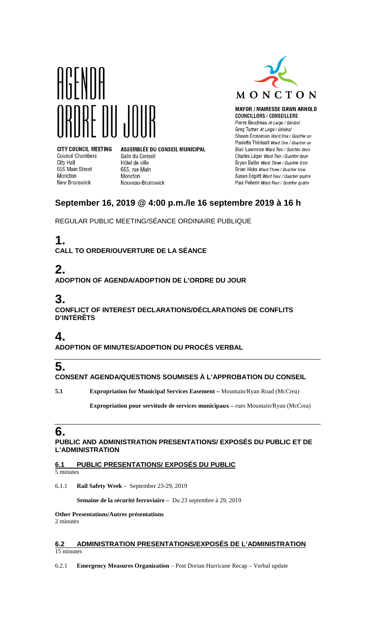



**MAYOR / MAIRESSE DAWN ARNOLD** 

**COUNCILLORS / CONSEILLERS** Pierre Boudreau At Large / Général Greg Turner At Large / Général Shawn Crossman Ward One / Quartier un Paulette Thériault Ward One / Quartier un Blair Lawrence Ward Two / Quartier deux Charles Léger Ward Two / Quartier deux Bryan Butler Ward Three / Quartier trois Brian Hicks Ward Three / Quartier trois Susan Edgett Ward Four / Quartier quatre Paul Pellerin Ward Four / Quartier quatre

# **September 16, 2019 @ 4:00 p.m./le 16 septembre 2019 à 16 h**

REGULAR PUBLIC MEETING/SÉANCE ORDINAIRE PUBLIQUE

# **1.**

**Council Chambers** 

655 Main Street

New Brunswick

City Hall

Moncton

**CALL TO ORDER/OUVERTURE DE LA SÉANCE**

Salle du Conseil

Hôtel de ville

655, rue Main

Nouveau-Brunswick

Moncton

# **2.**

**ADOPTION OF AGENDA/ADOPTION DE L'ORDRE DU JOUR**

# **3.**

**CONFLICT OF INTEREST DECLARATIONS/DÉCLARATIONS DE CONFLITS D'INTÉRÊTS**

## **4.**

**ADOPTION OF MINUTES/ADOPTION DU PROCÈS VERBAL**

# **5.**

**CONSENT AGENDA/QUESTIONS SOUMISES À L'APPROBATION DU CONSEIL**

**5.1 Expropriation for Municipal Services Easement –** Mountain/Ryan Road (McCrea)

**Expropriation pour servitude de services municipaux –** rues Mountain/Ryan (McCrea)

# **6.**

**PUBLIC AND ADMINISTRATION PRESENTATIONS/ EXPOSÉS DU PUBLIC ET DE L'ADMINISTRATION**

### **6.1 PUBLIC PRESENTATIONS/ EXPOSÉS DU PUBLIC**

5 minutes

6.1.1 **Rail Safety Week** – September 23-29, 2019

**Semaine de la sécurité ferroviaire –** Du 23 septembre à 29, 2019

### **Other Presentations/Autres présentations**

2 minutes

#### **6.2 ADMINISTRATION PRESENTATIONS/EXPOSÉS DE L'ADMINISTRATION** 15 minutes

6.2.1 **Emergency Measures Organization** – Post Dorian Hurricane Recap – Verbal update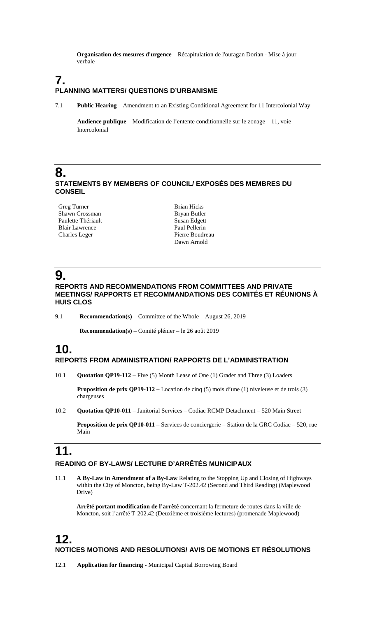**Organisation des mesures d'urgence** – Récapitulation de l'ouragan Dorian - Mise à jour verbale

## **7. PLANNING MATTERS/ QUESTIONS D'URBANISME**

7.1 **Public Hearing** – Amendment to an Existing Conditional Agreement for 11 Intercolonial Way

**Audience publique** – Modification de l'entente conditionnelle sur le zonage – 11, voie Intercolonial

### **8. STATEMENTS BY MEMBERS OF COUNCIL/ EXPOSÉS DES MEMBRES DU CONSEIL**

Greg Turner Shawn Crossman Paulette Thériault Blair Lawrence Charles Leger

Brian Hicks Bryan Butler Susan Edgett Paul Pellerin Pierre Boudreau Dawn Arnold

# **9.**

**REPORTS AND RECOMMENDATIONS FROM COMMITTEES AND PRIVATE MEETINGS/ RAPPORTS ET RECOMMANDATIONS DES COMITÉS ET RÉUNIONS À HUIS CLOS**

9.1 **Recommendation(s)** – Committee of the Whole – August 26, 2019

 **Recommendation(s)** – Comité plénier – le 26 août 2019

## **10. REPORTS FROM ADMINISTRATION/ RAPPORTS DE L'ADMINISTRATION**

10.1 **Quotation QP19-112** – Five (5) Month Lease of One (1) Grader and Three (3) Loaders

**Proposition de prix QP19-112 –** Location de cinq (5) mois d'une (1) niveleuse et de trois (3) chargeuses

10.2 **Quotation QP10-011** – Janitorial Services – Codiac RCMP Detachment – 520 Main Street

**Proposition de prix QP10-011 –** Services de conciergerie – Station de la GRC Codiac – 520, rue Main

# **11.**

### **READING OF BY-LAWS/ LECTURE D'ARRÊTÉS MUNICIPAUX**

11.1 **A By-Law in Amendment of a By-Law** Relating to the Stopping Up and Closing of Highways within the City of Moncton, being By-Law T-202.42 (Second and Third Reading) (Maplewood Drive)

**Arrêté portant modification de l'arrêté** concernant la fermeture de routes dans la ville de Moncton, soit l'arrêté T-202.42 (Deuxième et troisième lectures) (promenade Maplewood)

## **12.**

### **NOTICES MOTIONS AND RESOLUTIONS/ AVIS DE MOTIONS ET RÉSOLUTIONS**

12.1 **Application for financing** - Municipal Capital Borrowing Board